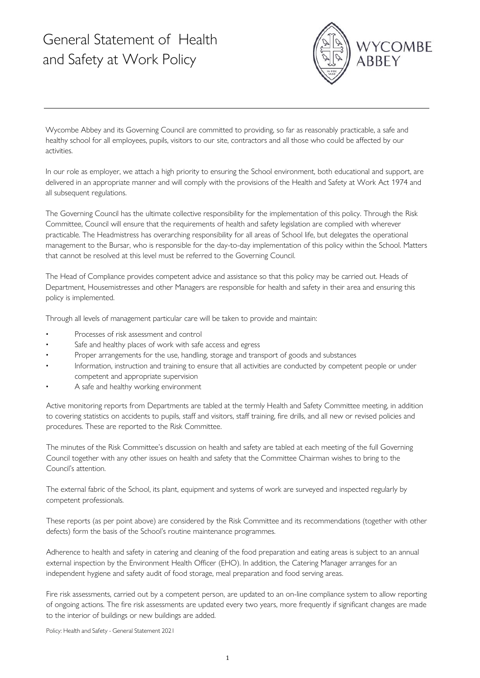## General Statement of Health and Safety at Work Policy



Wycombe Abbey and its Governing Council are committed to providing, so far as reasonably practicable, a safe and healthy school for all employees, pupils, visitors to our site, contractors and all those who could be affected by our activities.

In our role as employer, we attach a high priority to ensuring the School environment, both educational and support, are delivered in an appropriate manner and will comply with the provisions of the Health and Safety at Work Act 1974 and all subsequent regulations.

The Governing Council has the ultimate collective responsibility for the implementation of this policy. Through the Risk Committee, Council will ensure that the requirements of health and safety legislation are complied with wherever practicable. The Headmistress has overarching responsibility for all areas of School life, but delegates the operational management to the Bursar, who is responsible for the day-to-day implementation of this policy within the School. Matters that cannot be resolved at this level must be referred to the Governing Council.

The Head of Compliance provides competent advice and assistance so that this policy may be carried out. Heads of Department, Housemistresses and other Managers are responsible for health and safety in their area and ensuring this policy is implemented.

Through all levels of management particular care will be taken to provide and maintain:

- Processes of risk assessment and control
- Safe and healthy places of work with safe access and egress
- Proper arrangements for the use, handling, storage and transport of goods and substances
- Information, instruction and training to ensure that all activities are conducted by competent people or under competent and appropriate supervision
- A safe and healthy working environment

Active monitoring reports from Departments are tabled at the termly Health and Safety Committee meeting, in addition to covering statistics on accidents to pupils, staff and visitors, staff training, fire drills, and all new or revised policies and procedures. These are reported to the Risk Committee.

The minutes of the Risk Committee's discussion on health and safety are tabled at each meeting of the full Governing Council together with any other issues on health and safety that the Committee Chairman wishes to bring to the Council's attention.

The external fabric of the School, its plant, equipment and systems of work are surveyed and inspected regularly by competent professionals.

These reports (as per point above) are considered by the Risk Committee and its recommendations (together with other defects) form the basis of the School's routine maintenance programmes.

Adherence to health and safety in catering and cleaning of the food preparation and eating areas is subject to an annual external inspection by the Environment Health Officer (EHO). In addition, the Catering Manager arranges for an independent hygiene and safety audit of food storage, meal preparation and food serving areas.

Fire risk assessments, carried out by a competent person, are updated to an on-line compliance system to allow reporting of ongoing actions. The fire risk assessments are updated every two years, more frequently if significant changes are made to the interior of buildings or new buildings are added.

Policy: Health and Safety - General Statement 2021